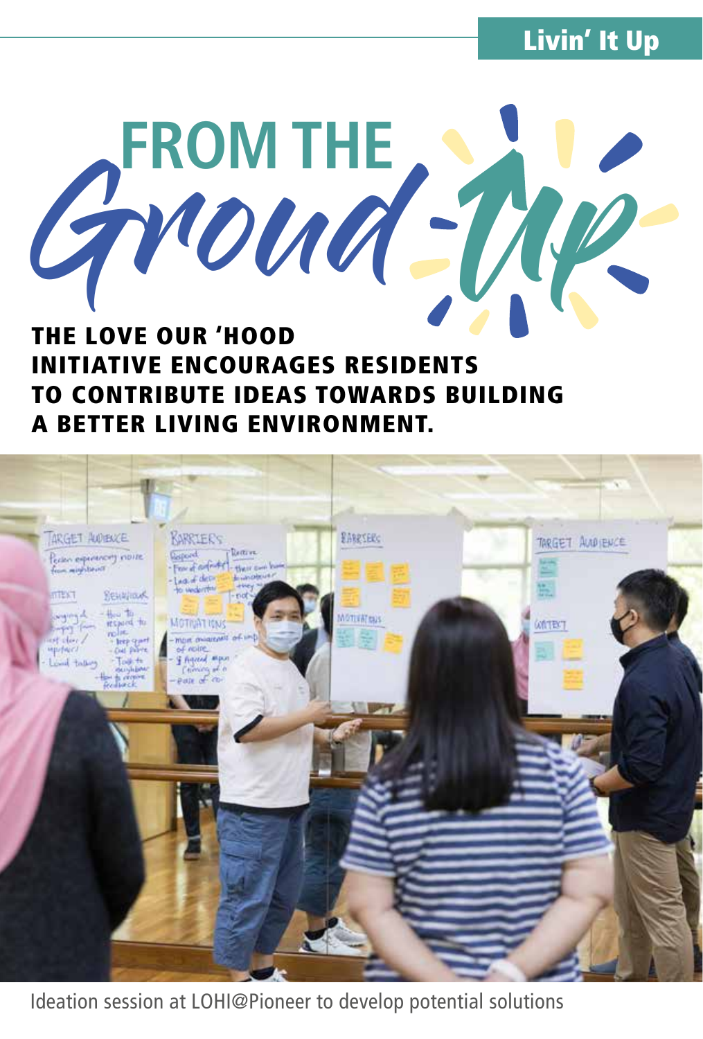Livin' It Up



## INITIATIVE ENCOURAGES RESIDENTS TO CONTRIBUTE IDEAS TOWARDS BUILDING A BETTER LIVING ENVIRONMENT.



Ideation session at LOHI@Pioneer to develop potential solutions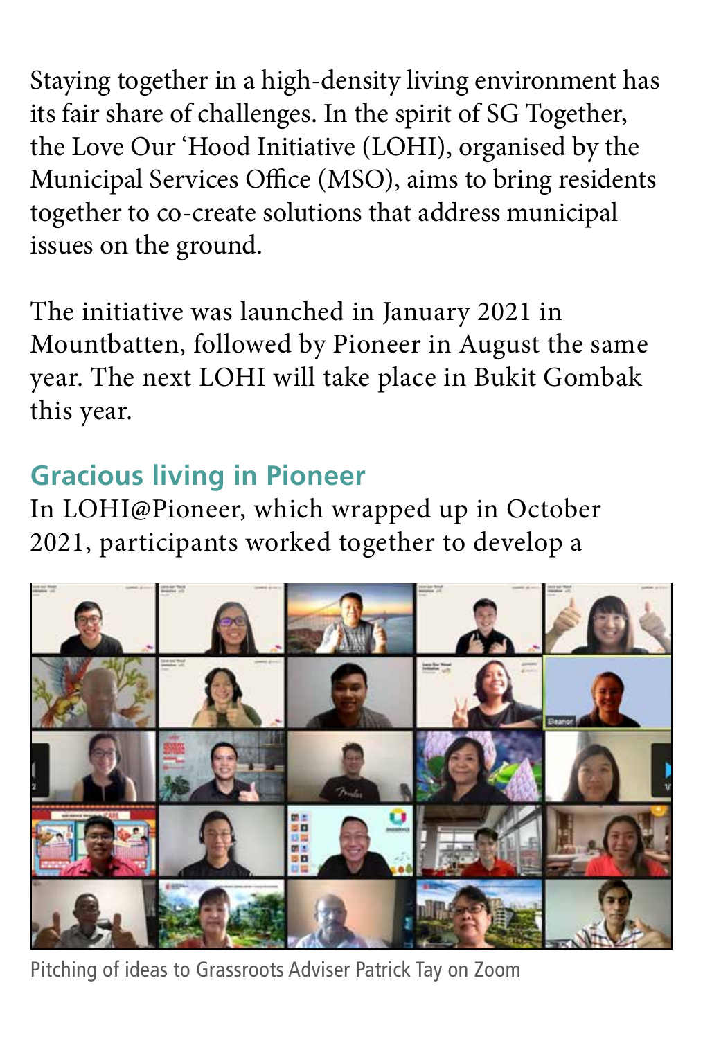Staying together in a high-density living environment has its fair share of challenges. In the spirit of SG Together, the Love Our 'Hood Initiative (LOHI), organised by the Municipal Services Office (MSO), aims to bring residents together to co-create solutions that address municipal issues on the ground.

The initiative was launched in January 2021 in Mountbatten, followed by Pioneer in August the same year. The next LOHI will take place in Bukit Gombak this year.

## **Gracious living in Pioneer**

In LOHI@Pioneer, which wrapped up in October 2021, participants worked together to develop a



Pitching of ideas to Grassroots Adviser Patrick Tay on Zoom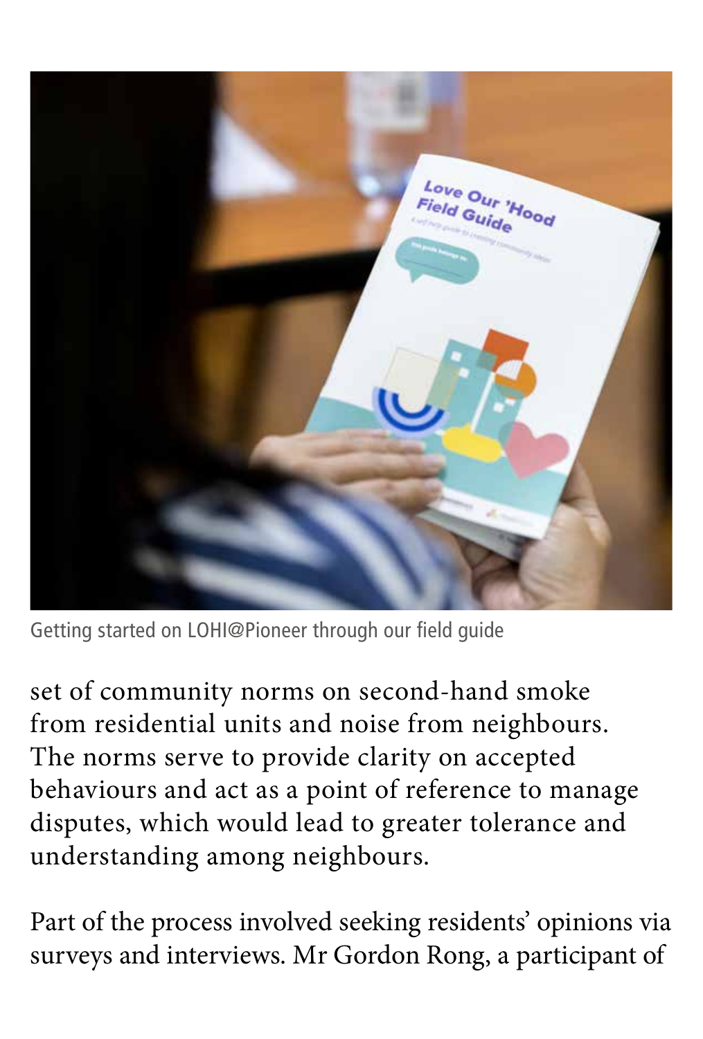

Getting started on LOHI@Pioneer through our field guide

set of community norms on second-hand smoke from residential units and noise from neighbours. The norms serve to provide clarity on accepted behaviours and act as a point of reference to manage disputes, which would lead to greater tolerance and understanding among neighbours.

Part of the process involved seeking residents' opinions via surveys and interviews. Mr Gordon Rong, a participant of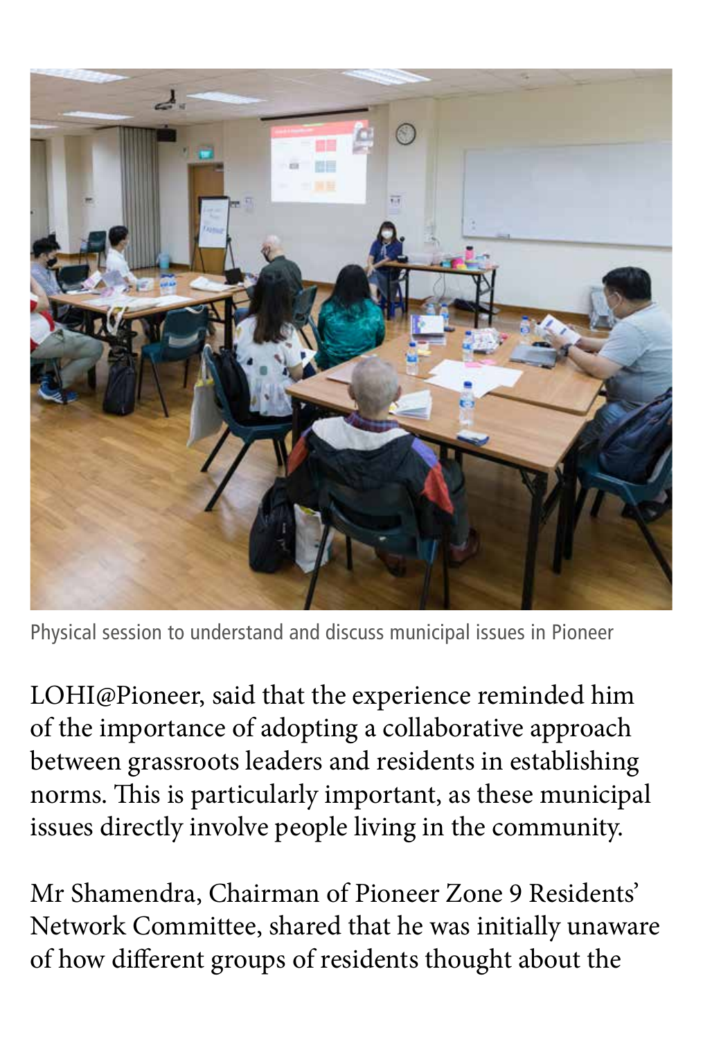

Physical session to understand and discuss municipal issues in Pioneer

LOHI@Pioneer, said that the experience reminded him of the importance of adopting a collaborative approach between grassroots leaders and residents in establishing norms. This is particularly important, as these municipal issues directly involve people living in the community.

Mr Shamendra, Chairman of Pioneer Zone 9 Residents' Network Committee, shared that he was initially unaware of how different groups of residents thought about the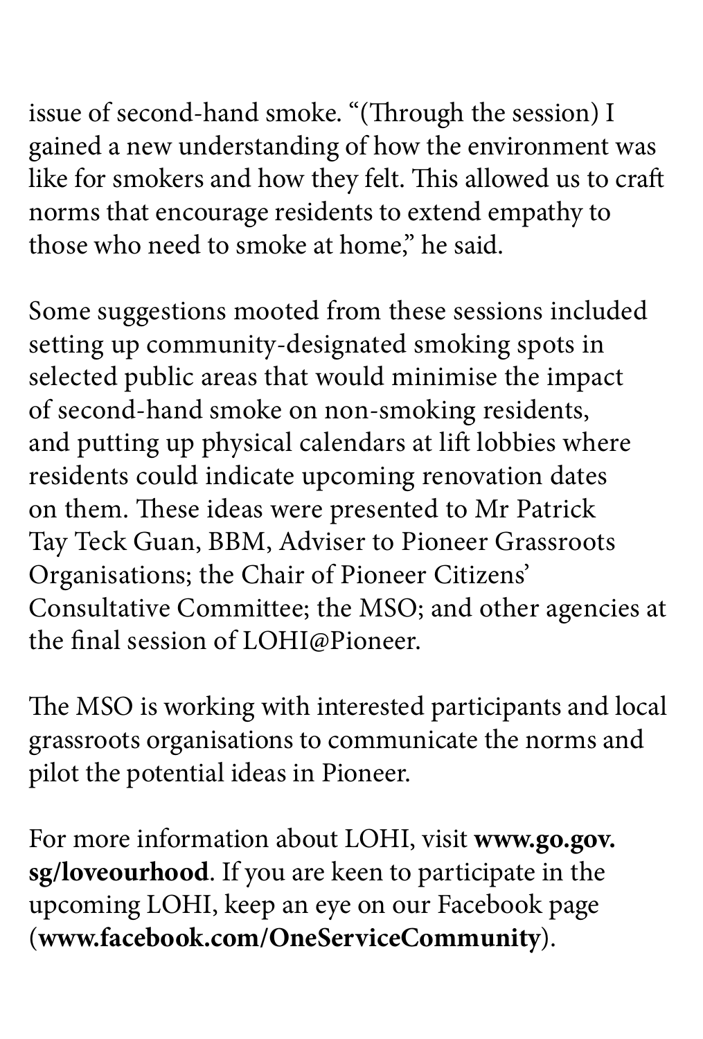issue of second-hand smoke. "(Through the session) I gained a new understanding of how the environment was like for smokers and how they felt. This allowed us to craft norms that encourage residents to extend empathy to those who need to smoke at home," he said.

Some suggestions mooted from these sessions included setting up community-designated smoking spots in selected public areas that would minimise the impact of second-hand smoke on non-smoking residents, and putting up physical calendars at lift lobbies where residents could indicate upcoming renovation dates on them. These ideas were presented to Mr Patrick Tay Teck Guan, BBM, Adviser to Pioneer Grassroots Organisations; the Chair of Pioneer Citizens' Consultative Committee; the MSO; and other agencies at the final session of LOHI@Pioneer.

The MSO is working with interested participants and local grassroots organisations to communicate the norms and pilot the potential ideas in Pioneer.

For more information about LOHI, visit **www.go.gov. sg/loveourhood**. If you are keen to participate in the upcoming LOHI, keep an eye on our Facebook page (**www.facebook.com/OneServiceCommunity**).